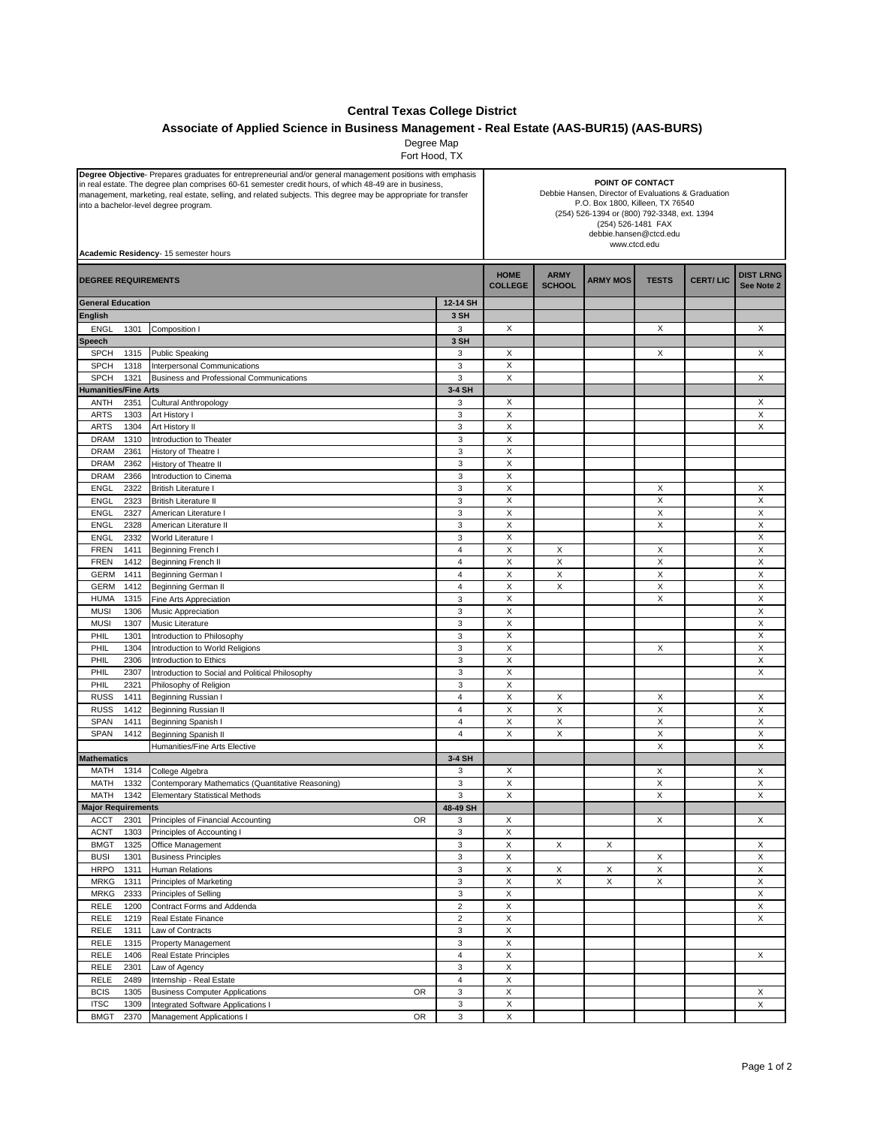## **Central Texas College District**

## **Associate of Applied Science in Business Management - Real Estate (AAS-BUR15) (AAS-BURS)**

Degree Map Fort Hood, TX

| Degree Objective-Prepares graduates for entrepreneurial and/or general management positions with emphasis<br>in real estate. The degree plan comprises 60-61 semester credit hours, of which 48-49 are in business,<br>management, marketing, real estate, selling, and related subjects. This degree may be appropriate for transfer<br>into a bachelor-level degree program.<br>Academic Residency- 15 semester hours |                                                        |                              | POINT OF CONTACT<br>Debbie Hansen, Director of Evaluations & Graduation<br>P.O. Box 1800, Killeen, TX 76540<br>(254) 526-1394 or (800) 792-3348, ext. 1394<br>(254) 526-1481 FAX<br>debbie.hansen@ctcd.edu<br>www.ctcd.edu |                              |                 |              |                 |                                |
|-------------------------------------------------------------------------------------------------------------------------------------------------------------------------------------------------------------------------------------------------------------------------------------------------------------------------------------------------------------------------------------------------------------------------|--------------------------------------------------------|------------------------------|----------------------------------------------------------------------------------------------------------------------------------------------------------------------------------------------------------------------------|------------------------------|-----------------|--------------|-----------------|--------------------------------|
| <b>DEGREE REQUIREMENTS</b>                                                                                                                                                                                                                                                                                                                                                                                              |                                                        |                              | <b>HOME</b><br><b>COLLEGE</b>                                                                                                                                                                                              | <b>ARMY</b><br><b>SCHOOL</b> | <b>ARMY MOS</b> | <b>TESTS</b> | <b>CERT/LIC</b> | <b>DIST LRNG</b><br>See Note 2 |
| <b>General Education</b>                                                                                                                                                                                                                                                                                                                                                                                                |                                                        | 12-14 SH                     |                                                                                                                                                                                                                            |                              |                 |              |                 |                                |
| <b>English</b>                                                                                                                                                                                                                                                                                                                                                                                                          |                                                        | 3 SH                         |                                                                                                                                                                                                                            |                              |                 |              |                 |                                |
| <b>ENGL</b><br>1301                                                                                                                                                                                                                                                                                                                                                                                                     | Composition I                                          | 3                            | X                                                                                                                                                                                                                          |                              |                 | х            |                 | X                              |
| <b>Speech</b>                                                                                                                                                                                                                                                                                                                                                                                                           |                                                        | 3 SH                         |                                                                                                                                                                                                                            |                              |                 |              |                 |                                |
| <b>SPCH</b><br>1315<br><b>SPCH</b>                                                                                                                                                                                                                                                                                                                                                                                      | <b>Public Speaking</b><br>Interpersonal Communications | 3<br>3                       | X<br>X                                                                                                                                                                                                                     |                              |                 | Х            |                 | X                              |
| 1318<br><b>SPCH</b><br>1321                                                                                                                                                                                                                                                                                                                                                                                             | Business and Professional Communications               | 3                            | X                                                                                                                                                                                                                          |                              |                 |              |                 | X                              |
| <b>Humanities/Fine Arts</b>                                                                                                                                                                                                                                                                                                                                                                                             |                                                        | 3-4 SH                       |                                                                                                                                                                                                                            |                              |                 |              |                 |                                |
| ANTH<br>2351                                                                                                                                                                                                                                                                                                                                                                                                            | <b>Cultural Anthropology</b>                           | 3                            | X                                                                                                                                                                                                                          |                              |                 |              |                 | X                              |
| <b>ARTS</b><br>1303                                                                                                                                                                                                                                                                                                                                                                                                     | Art History I                                          | 3                            | Χ                                                                                                                                                                                                                          |                              |                 |              |                 | X                              |
| <b>ARTS</b><br>1304                                                                                                                                                                                                                                                                                                                                                                                                     | Art History II                                         | 3                            | X                                                                                                                                                                                                                          |                              |                 |              |                 | X                              |
| 1310<br><b>DRAM</b>                                                                                                                                                                                                                                                                                                                                                                                                     | Introduction to Theater                                | 3                            | X                                                                                                                                                                                                                          |                              |                 |              |                 |                                |
| <b>DRAM</b><br>2361                                                                                                                                                                                                                                                                                                                                                                                                     | History of Theatre I                                   | $\ensuremath{\mathsf{3}}$    | $\pmb{\times}$                                                                                                                                                                                                             |                              |                 |              |                 |                                |
| <b>DRAM</b><br>2362                                                                                                                                                                                                                                                                                                                                                                                                     | History of Theatre II                                  | 3                            | X                                                                                                                                                                                                                          |                              |                 |              |                 |                                |
| <b>DRAM</b><br>2366<br><b>ENGL</b><br>2322                                                                                                                                                                                                                                                                                                                                                                              | Introduction to Cinema<br><b>British Literature I</b>  | 3<br>3                       | X<br>Χ                                                                                                                                                                                                                     |                              |                 | X            |                 | X                              |
| <b>ENGL</b><br>2323                                                                                                                                                                                                                                                                                                                                                                                                     | <b>British Literature II</b>                           | 3                            | X                                                                                                                                                                                                                          |                              |                 | Χ            |                 | $\boldsymbol{\mathsf{X}}$      |
| <b>ENGL</b><br>2327                                                                                                                                                                                                                                                                                                                                                                                                     | American Literature I                                  | 3                            | X                                                                                                                                                                                                                          |                              |                 | X            |                 | X                              |
| <b>ENGL</b><br>2328                                                                                                                                                                                                                                                                                                                                                                                                     | American Literature II                                 | 3                            | X                                                                                                                                                                                                                          |                              |                 | X            |                 | X                              |
| <b>ENGL</b><br>2332                                                                                                                                                                                                                                                                                                                                                                                                     | World Literature I                                     | 3                            | X                                                                                                                                                                                                                          |                              |                 |              |                 | X                              |
| <b>FREN</b><br>1411                                                                                                                                                                                                                                                                                                                                                                                                     | Beginning French I                                     | 4                            | X                                                                                                                                                                                                                          | X                            |                 | X            |                 | X                              |
| <b>FREN</b><br>1412                                                                                                                                                                                                                                                                                                                                                                                                     | Beginning French II                                    | $\overline{4}$               | Χ                                                                                                                                                                                                                          | X                            |                 | Χ            |                 | X                              |
| <b>GERM</b><br>1411                                                                                                                                                                                                                                                                                                                                                                                                     | Beginning German I                                     | 4                            | Χ                                                                                                                                                                                                                          | X                            |                 | X            |                 | X                              |
| <b>GERM</b><br>1412                                                                                                                                                                                                                                                                                                                                                                                                     | <b>Beginning German II</b>                             | 4                            | X                                                                                                                                                                                                                          | X                            |                 | X            |                 | X                              |
| <b>HUMA</b><br>1315                                                                                                                                                                                                                                                                                                                                                                                                     | Fine Arts Appreciation                                 | 3                            | Χ                                                                                                                                                                                                                          |                              |                 | X            |                 | X                              |
| <b>MUSI</b><br>1306<br><b>MUSI</b><br>1307                                                                                                                                                                                                                                                                                                                                                                              | Music Appreciation<br>Music Literature                 | 3<br>3                       | X<br>X                                                                                                                                                                                                                     |                              |                 |              |                 | X<br>X                         |
| PHIL<br>1301                                                                                                                                                                                                                                                                                                                                                                                                            | Introduction to Philosophy                             | 3                            | X                                                                                                                                                                                                                          |                              |                 |              |                 | X                              |
| PHIL<br>1304                                                                                                                                                                                                                                                                                                                                                                                                            | Introduction to World Religions                        | 3                            | X                                                                                                                                                                                                                          |                              |                 | X            |                 | X                              |
| PHIL<br>2306                                                                                                                                                                                                                                                                                                                                                                                                            | Introduction to Ethics                                 | $\ensuremath{\mathsf{3}}$    | X                                                                                                                                                                                                                          |                              |                 |              |                 | X                              |
| PHIL<br>2307                                                                                                                                                                                                                                                                                                                                                                                                            | Introduction to Social and Political Philosophy        | 3                            | Χ                                                                                                                                                                                                                          |                              |                 |              |                 | X                              |
| PHIL<br>2321                                                                                                                                                                                                                                                                                                                                                                                                            | Philosophy of Religion                                 | 3                            | Χ                                                                                                                                                                                                                          |                              |                 |              |                 |                                |
| <b>RUSS</b><br>1411                                                                                                                                                                                                                                                                                                                                                                                                     | Beginning Russian I                                    | $\overline{4}$               | X                                                                                                                                                                                                                          | X                            |                 | X            |                 | X                              |
| <b>RUSS</b><br>1412                                                                                                                                                                                                                                                                                                                                                                                                     | Beginning Russian II                                   | $\overline{4}$               | X                                                                                                                                                                                                                          | X                            |                 | X            |                 | X                              |
| <b>SPAN</b><br>1411                                                                                                                                                                                                                                                                                                                                                                                                     | Beginning Spanish I                                    | $\overline{4}$               | Χ                                                                                                                                                                                                                          | X<br>X                       |                 | Χ            |                 | X                              |
| <b>SPAN</b><br>1412                                                                                                                                                                                                                                                                                                                                                                                                     | Beginning Spanish II<br>Humanities/Fine Arts Elective  | $\overline{4}$               | X                                                                                                                                                                                                                          |                              |                 | X<br>X       |                 | X<br>Χ                         |
| <b>Mathematics</b>                                                                                                                                                                                                                                                                                                                                                                                                      |                                                        | 3-4 SH                       |                                                                                                                                                                                                                            |                              |                 |              |                 |                                |
| MATH<br>1314                                                                                                                                                                                                                                                                                                                                                                                                            | College Algebra                                        | 3                            | X                                                                                                                                                                                                                          |                              |                 | Х            |                 | Х                              |
| MATH<br>1332                                                                                                                                                                                                                                                                                                                                                                                                            | Contemporary Mathematics (Quantitative Reasoning)      | 3                            | Χ                                                                                                                                                                                                                          |                              |                 | X            |                 | X                              |
| MATH<br>1342                                                                                                                                                                                                                                                                                                                                                                                                            | <b>Elementary Statistical Methods</b>                  | 3                            | Χ                                                                                                                                                                                                                          |                              |                 | X            |                 | X                              |
| <b>Major Requirements</b>                                                                                                                                                                                                                                                                                                                                                                                               |                                                        | 48-49 SH                     |                                                                                                                                                                                                                            |                              |                 |              |                 |                                |
| <b>ACCT</b><br>2301                                                                                                                                                                                                                                                                                                                                                                                                     | Principles of Financial Accounting<br><b>OR</b>        | 3                            | X                                                                                                                                                                                                                          |                              |                 | X            |                 | X                              |
| <b>ACNT</b><br>1303                                                                                                                                                                                                                                                                                                                                                                                                     | Principles of Accounting I                             | 3                            | Χ                                                                                                                                                                                                                          |                              |                 |              |                 |                                |
| <b>BMGT</b><br>1325<br>1301<br><b>BUSI</b>                                                                                                                                                                                                                                                                                                                                                                              | Office Management<br><b>Business Principles</b>        | 3<br>3                       | $\pmb{\mathsf{X}}$<br>X                                                                                                                                                                                                    | X                            | X               | X            |                 | X<br>X                         |
| <b>HRPO</b><br>1311                                                                                                                                                                                                                                                                                                                                                                                                     | <b>Human Relations</b>                                 | 3                            | $\mathsf X$                                                                                                                                                                                                                | X                            | X               | Χ            |                 | X                              |
| <b>MRKG</b><br>1311                                                                                                                                                                                                                                                                                                                                                                                                     | Principles of Marketing                                | 3                            | X                                                                                                                                                                                                                          | X                            | X               | X            |                 | X                              |
| <b>MRKG</b><br>2333                                                                                                                                                                                                                                                                                                                                                                                                     | Principles of Selling                                  | 3                            | $\mathsf X$                                                                                                                                                                                                                |                              |                 |              |                 | X                              |
| <b>RELE</b><br>1200                                                                                                                                                                                                                                                                                                                                                                                                     | Contract Forms and Addenda                             | $\overline{c}$               | X                                                                                                                                                                                                                          |                              |                 |              |                 | X                              |
| <b>RELE</b><br>1219                                                                                                                                                                                                                                                                                                                                                                                                     | Real Estate Finance                                    | $\overline{\mathbf{c}}$      | $\mathsf X$                                                                                                                                                                                                                |                              |                 |              |                 | X                              |
| <b>RELE</b><br>1311                                                                                                                                                                                                                                                                                                                                                                                                     | Law of Contracts                                       | 3                            | $\mathsf X$                                                                                                                                                                                                                |                              |                 |              |                 |                                |
| RELE<br>1315                                                                                                                                                                                                                                                                                                                                                                                                            | Property Management                                    | 3                            | $\pmb{\mathsf{X}}$                                                                                                                                                                                                         |                              |                 |              |                 |                                |
| <b>RELE</b><br>1406                                                                                                                                                                                                                                                                                                                                                                                                     | Real Estate Principles                                 | $\overline{\mathbf{4}}$      | $\boldsymbol{\mathsf{X}}$                                                                                                                                                                                                  |                              |                 |              |                 | X                              |
| <b>RELE</b><br>2301<br><b>RELE</b><br>2489                                                                                                                                                                                                                                                                                                                                                                              | Law of Agency<br>Internship - Real Estate              | 3<br>$\overline{\mathbf{4}}$ | $\pmb{\mathsf{X}}$<br>X                                                                                                                                                                                                    |                              |                 |              |                 |                                |
| <b>BCIS</b><br>1305                                                                                                                                                                                                                                                                                                                                                                                                     | <b>Business Computer Applications</b><br>OR            | 3                            | X                                                                                                                                                                                                                          |                              |                 |              |                 | X                              |
| <b>ITSC</b><br>1309                                                                                                                                                                                                                                                                                                                                                                                                     | Integrated Software Applications I                     | 3                            | X                                                                                                                                                                                                                          |                              |                 |              |                 | X                              |
| <b>BMGT</b><br>2370                                                                                                                                                                                                                                                                                                                                                                                                     | OR<br>Management Applications I                        | $\mathsf 3$                  | X                                                                                                                                                                                                                          |                              |                 |              |                 |                                |